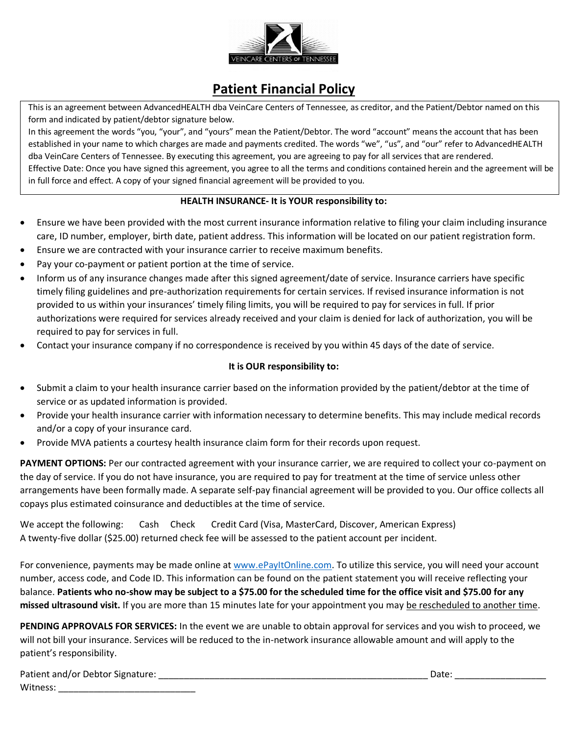

## **Patient Financial Policy**

This is an agreement between AdvancedHEALTH dba VeinCare Centers of Tennessee, as creditor, and the Patient/Debtor named on this form and indicated by patient/debtor signature below.

In this agreement the words "you, "your", and "yours" mean the Patient/Debtor. The word "account" means the account that has been established in your name to which charges are made and payments credited. The words "we", "us", and "our" refer to AdvancedHEALTH dba VeinCare Centers of Tennessee. By executing this agreement, you are agreeing to pay for all services that are rendered.

Effective Date: Once you have signed this agreement, you agree to all the terms and conditions contained herein and the agreement will be in full force and effect. A copy of your signed financial agreement will be provided to you.

## **HEALTH INSURANCE- It is YOUR responsibility to:**

- Ensure we have been provided with the most current insurance information relative to filing your claim including insurance care, ID number, employer, birth date, patient address. This information will be located on our patient registration form.
- Ensure we are contracted with your insurance carrier to receive maximum benefits.
- Pay your co-payment or patient portion at the time of service.
- Inform us of any insurance changes made after this signed agreement/date of service. Insurance carriers have specific timely filing guidelines and pre-authorization requirements for certain services. If revised insurance information is not provided to us within your insurances' timely filing limits, you will be required to pay for services in full. If prior authorizations were required for services already received and your claim is denied for lack of authorization, you will be required to pay for services in full.
- Contact your insurance company if no correspondence is received by you within 45 days of the date of service.

## **It is OUR responsibility to:**

- Submit a claim to your health insurance carrier based on the information provided by the patient/debtor at the time of service or as updated information is provided.
- Provide your health insurance carrier with information necessary to determine benefits. This may include medical records and/or a copy of your insurance card.
- Provide MVA patients a courtesy health insurance claim form for their records upon request.

**PAYMENT OPTIONS:** Per our contracted agreement with your insurance carrier, we are required to collect your co-payment on the day of service. If you do not have insurance, you are required to pay for treatment at the time of service unless other arrangements have been formally made. A separate self-pay financial agreement will be provided to you. Our office collects all copays plus estimated coinsurance and deductibles at the time of service.

We accept the following: Cash Check Credit Card (Visa, MasterCard, Discover, American Express) A twenty-five dollar (\$25.00) returned check fee will be assessed to the patient account per incident.

For convenience, payments may be made online at [www.ePayItOnline.com.](http://www.epayitonline.com/) To utilize this service, you will need your account number, access code, and Code ID. This information can be found on the patient statement you will receive reflecting your balance. **Patients who no-show may be subject to a \$75.00 for the scheduled time for the office visit and \$75.00 for any missed ultrasound visit.** If you are more than 15 minutes late for your appointment you may be rescheduled to another time.

**PENDING APPROVALS FOR SERVICES:** In the event we are unable to obtain approval for services and you wish to proceed, we will not bill your insurance. Services will be reduced to the in-network insurance allowable amount and will apply to the patient's responsibility.

| Patient and/or Debtor Signature: | vale |
|----------------------------------|------|
| Witness.                         |      |